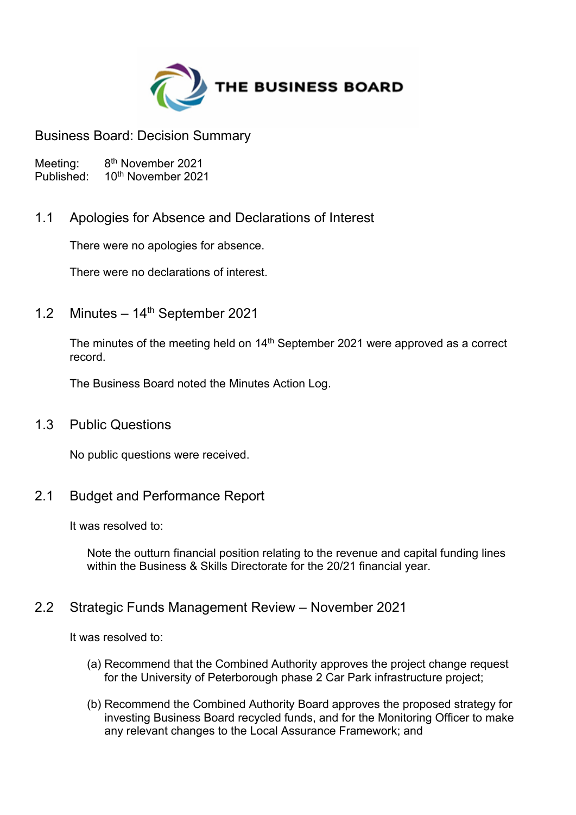

Business Board: Decision Summary

Meeting:<br>Published: 8<sup>th</sup> November 2021 10<sup>th</sup> November 2021

# 1.1 Apologies for Absence and Declarations of Interest

There were no apologies for absence.

There were no declarations of interest.

1.2 Minutes – 14 th September 2021

The minutes of the meeting held on 14<sup>th</sup> September 2021 were approved as a correct record.

The Business Board noted the Minutes Action Log.

### 1.3 Public Questions

No public questions were received.

# 2.1 Budget and Performance Report

It was resolved to:

Note the outturn financial position relating to the revenue and capital funding lines within the Business & Skills Directorate for the 20/21 financial year.

### 2.2 Strategic Funds Management Review – November 2021

It was resolved to:

- (a) Recommend that the Combined Authority approves the project change request for the University of Peterborough phase 2 Car Park infrastructure project;
- (b) Recommend the Combined Authority Board approves the proposed strategy for investing Business Board recycled funds, and for the Monitoring Officer to make any relevant changes to the Local Assurance Framework; and